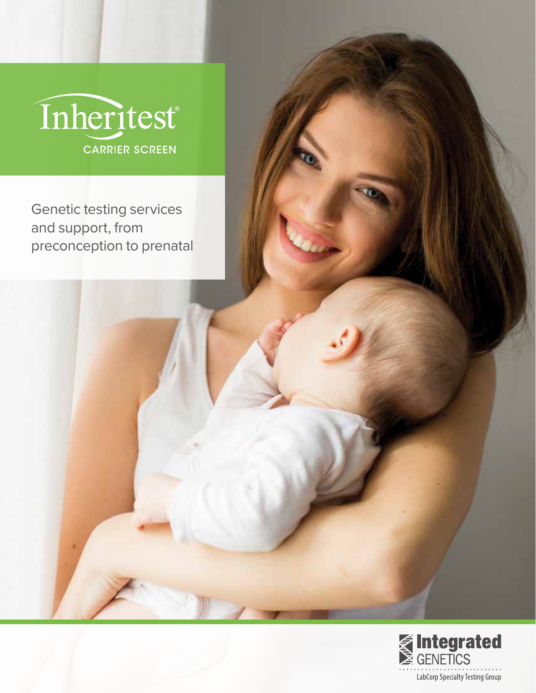

Genetic testing services and support, from preconception to prenatal

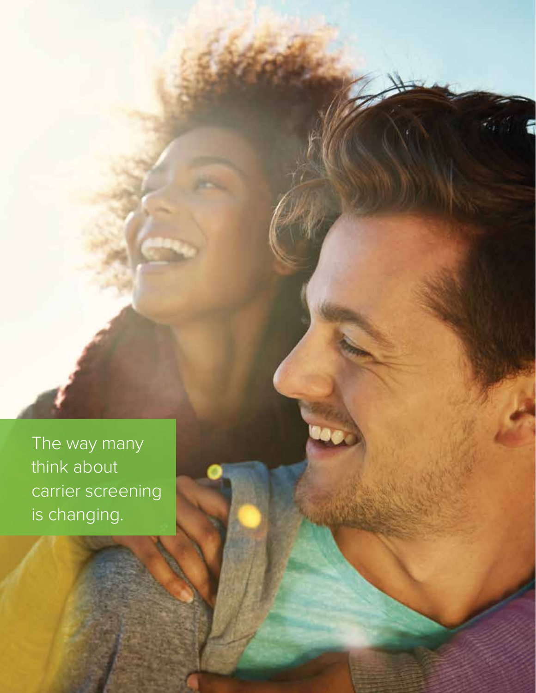The way many think about carrier screening is changing.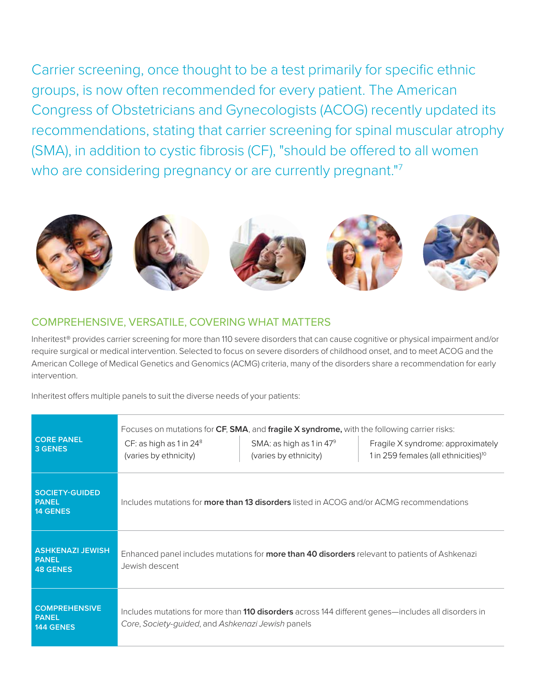Carrier screening, once thought to be a test primarily for specific ethnic groups, is now often recommended for every patient. The American Congress of Obstetricians and Gynecologists (ACOG) recently updated its recommendations, stating that carrier screening for spinal muscular atrophy (SMA), in addition to cystic fibrosis (CF), "should be offered to all women who are considering pregnancy or are currently pregnant."<sup>7</sup>



# COMPREHENSIVE, VERSATILE, COVERING WHAT MATTERS

Inheritest® provides carrier screening for more than 110 severe disorders that can cause cognitive or physical impairment and/or require surgical or medical intervention. Selected to focus on severe disorders of childhood onset, and to meet ACOG and the American College of Medical Genetics and Genomics (ACMG) criteria, many of the disorders share a recommendation for early intervention.

Inheritest offers multiple panels to suit the diverse needs of your patients:

| <b>CORE PANEL</b><br>3 GENES                               | Focuses on mutations for CF, SMA, and fragile X syndrome, with the following carrier risks:<br>CF: as high as $1$ in $24^8$<br>(varies by ethnicity)            | SMA: as high as 1 in 47 <sup>9</sup><br>(varies by ethnicity) | Fragile X syndrome: approximately<br>1 in 259 females (all ethnicities) <sup>10</sup> |
|------------------------------------------------------------|-----------------------------------------------------------------------------------------------------------------------------------------------------------------|---------------------------------------------------------------|---------------------------------------------------------------------------------------|
| <b>SOCIETY-GUIDED</b><br><b>PANEL</b><br><b>14 GENES</b>   | Includes mutations for <b>more than 13 disorders</b> listed in ACOG and/or ACMG recommendations                                                                 |                                                               |                                                                                       |
| <b>ASHKENAZI JEWISH</b><br><b>PANEL</b><br><b>48 GENES</b> | Enhanced panel includes mutations for <b>more than 40 disorders</b> relevant to patients of Ashkenazi<br>Jewish descent                                         |                                                               |                                                                                       |
| <b>COMPREHENSIVE</b><br><b>PANEL</b><br><b>144 GENES</b>   | Includes mutations for more than <b>110 disorders</b> across 144 different genes—includes all disorders in<br>Core, Society-guided, and Ashkenazi Jewish panels |                                                               |                                                                                       |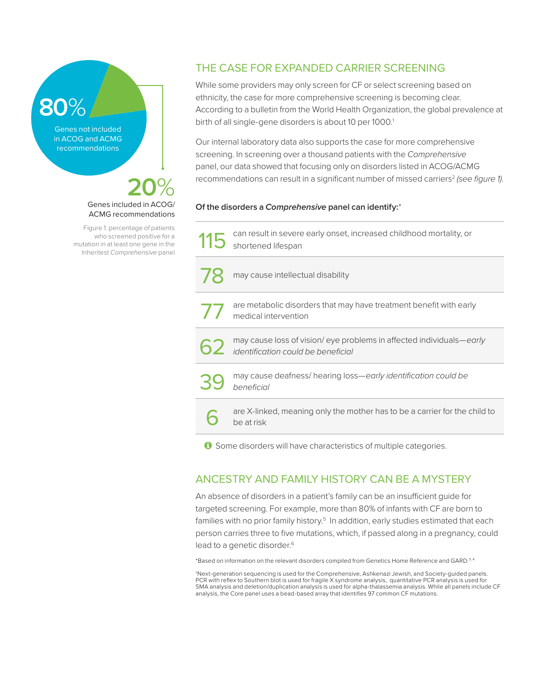# **80**%

Genes not included in ACOG and ACMG recommendations

# **20**% Genes included in ACOG/ ACMG recommendations

Figure 1: percentage of patients who screened positive for a mutation in at least one gene in the Inheritest *Comprehensive* panel

# THE CASE FOR EXPANDED CARRIER SCREENING

While some providers may only screen for CF or select screening based on ethnicity, the case for more comprehensive screening is becoming clear. According to a bulletin from the World Health Organization, the global prevalence at birth of all single-gene disorders is about 10 per 1000.<sup>1</sup>

Our internal laboratory data also supports the case for more comprehensive screening. In screening over a thousand patients with the *Comprehensive* panel, our data showed that focusing only on disorders listed in ACOG/ACMG recommendations can result in a significant number of missed carriers<sup>2</sup> (see figure 1).

# **Of the disorders a** *Comprehensive* **panel can identify:**\*

| 115                                                              | can result in severe early onset, increased childhood mortality, or<br>shortened lifespan                        |  |  |
|------------------------------------------------------------------|------------------------------------------------------------------------------------------------------------------|--|--|
|                                                                  | may cause intellectual disability                                                                                |  |  |
| 77                                                               | are metabolic disorders that may have treatment benefit with early<br>medical intervention                       |  |  |
|                                                                  | may cause loss of vision/eye problems in affected individuals—early<br><i>identification could be beneficial</i> |  |  |
|                                                                  | may cause deafness/hearing loss—early identification could be<br>beneficial                                      |  |  |
|                                                                  | are X-linked, meaning only the mother has to be a carrier for the child to<br>be at risk                         |  |  |
| Some disorders will have characteristics of multiple categories. |                                                                                                                  |  |  |

# ANCESTRY AND FAMILY HISTORY CAN BE A MYSTERY

An absence of disorders in a patient's family can be an insufficient guide for targeted screening. For example, more than 80% of infants with CF are born to families with no prior family history.<sup>5</sup> In addition, early studies estimated that each person carries three to five mutations, which, if passed along in a pregnancy, could lead to a genetic disorder.<sup>6</sup>

\*Based on information on the relevant disorders compiled from Genetics Home Reference and GARD.3, 4

†Next-generation sequencing is used for the Comprehensive, Ashkenazi Jewish, and Society-guided panels. PCR with reflex to Southern blot is used for fragile X syndrome analysis, quantitative PCR analysis is used for<br>SMA analysis and deletion/duplication analysis is used for alpha-thalassemia analysis. While all panels inclu analysis, the Core panel uses a bead-based array that identifies 97 common CF mutations.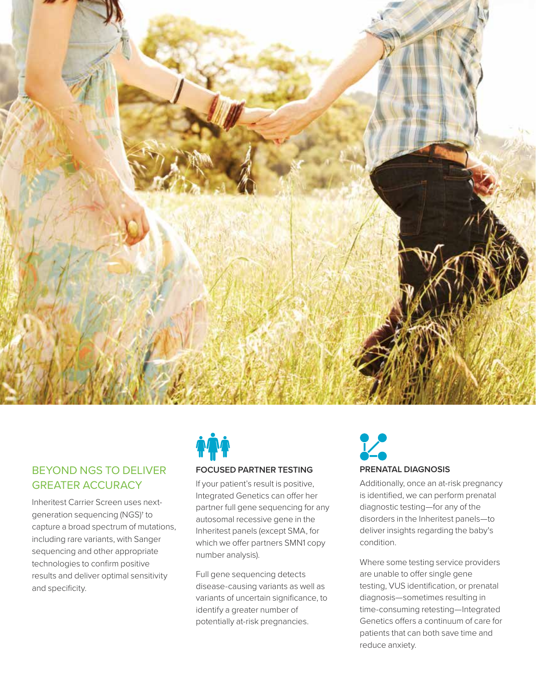

# BEYOND NGS TO DELIVER GREATER ACCURACY

Inheritest Carrier Screen uses nextgeneration sequencing (NGS)† to capture a broad spectrum of mutations, including rare variants, with Sanger sequencing and other appropriate technologies to confirm positive results and deliver optimal sensitivity and specificity.



If your patient's result is positive, Integrated Genetics can offer her partner full gene sequencing for any autosomal recessive gene in the Inheritest panels (except SMA, for which we offer partners SMN1 copy number analysis).

Full gene sequencing detects disease-causing variants as well as variants of uncertain significance, to identify a greater number of potentially at-risk pregnancies.

# **PRENATAL DIAGNOSIS**

Additionally, once an at-risk pregnancy is identified, we can perform prenatal diagnostic testing—for any of the disorders in the Inheritest panels—to deliver insights regarding the baby's condition.

Where some testing service providers are unable to offer single gene testing, VUS identification, or prenatal diagnosis—sometimes resulting in time-consuming retesting—Integrated Genetics offers a continuum of care for patients that can both save time and reduce anxiety.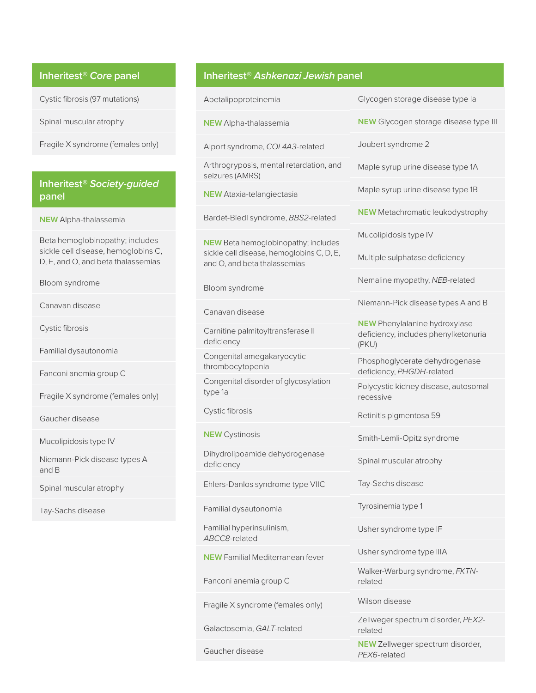# **Inheritest®** *Core* **panel**

Cystic fibrosis (97 mutations)

Spinal muscular atrophy

Fragile X syndrome (females only)

# **Inheritest®** *Society-guided* **panel**

**NEW** Alpha-thalassemia

Beta hemoglobinopathy; includes sickle cell disease, hemoglobins C, D, E, and O, and beta thalassemias

Bloom syndrome

Canavan disease

Cystic fibrosis

Familial dysautonomia

Fanconi anemia group C

Fragile X syndrome (females only)

Gaucher disease

Mucolipidosis type IV

Niemann-Pick disease types A and B

Spinal muscular atrophy

Tay-Sachs disease

# **Inheritest®** *Ashkenazi Jewish* **panel**

Abetalipoproteinemia

**NEW** Alpha-thalassemia

Alport syndrome, *COL4A3*-related

Arthrogryposis, mental retardation, and seizures (AMRS)

**NEW** Ataxia-telangiectasia

Bardet-Biedl syndrome, *BBS2*-related

**NEW** Beta hemoglobinopathy; includes sickle cell disease, hemoglobins C, D, E, and O, and beta thalassemias

Bloom syndrome

Canavan disease

Carnitine palmitoyltransferase II deficiency

Congenital amegakaryocytic thrombocytopenia

Congenital disorder of glycosylation type 1a

Cystic fibrosis

**NEW** Cystinosis

Dihydrolipoamide dehydrogenase deficiency

Ehlers-Danlos syndrome type VIIC

Familial dysautonomia

Familial hyperinsulinism, *ABCC8*-related

**NEW** Familial Mediterranean fever

Fanconi anemia group C

Fragile X syndrome (females only)

Galactosemia, *GALT*-related

Gaucher disease

Glycogen storage disease type Ia

**NEW** Glycogen storage disease type III

Joubert syndrome 2

Maple syrup urine disease type 1A

Maple syrup urine disease type 1B

**NEW** Metachromatic leukodystrophy

Mucolipidosis type IV

Multiple sulphatase deficiency

Nemaline myopathy, *NEB*-related

Niemann-Pick disease types A and B

**NEW** Phenylalanine hydroxylase deficiency, includes phenylketonuria (PKU)

Phosphoglycerate dehydrogenase deficiency, *PHGDH*-related

Polycystic kidney disease, autosomal recessive

Retinitis pigmentosa 59

Smith-Lemli-Opitz syndrome

Spinal muscular atrophy

Tay-Sachs disease

Tyrosinemia type 1

Usher syndrome type IF

Usher syndrome type IIIA

Walker-Warburg syndrome, *FKTN*related

Wilson disease

Zellweger spectrum disorder, *PEX2* related

**NEW** Zellweger spectrum disorder, *PEX6*-related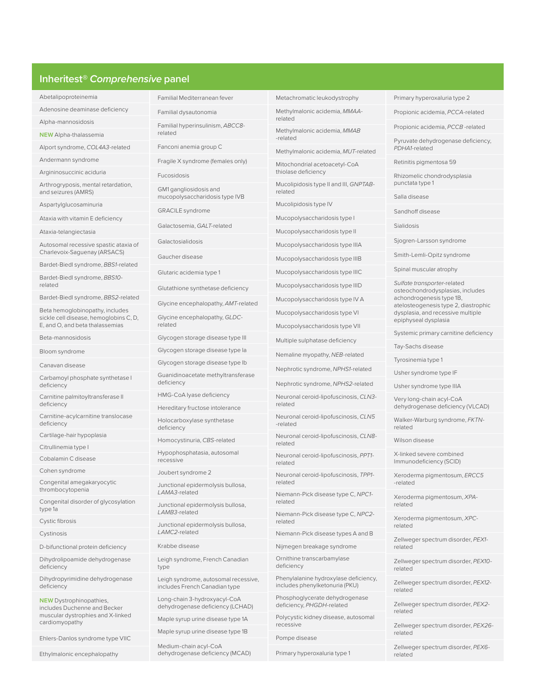# **Inheritest®** *Comprehensive* **panel**

Abetalipoproteinemia

Adenosine deaminase deficiency

Alpha-mannosidosis **NEW** Alpha-thalassemia

Alport syndrome, *COL4A3*-related

Andermann syndrome

Argininosuccinic aciduria

Arthrogryposis, mental retardation, and seizures (AMRS)

Aspartylglucosaminuria

Ataxia with vitamin E deficiency

Ataxia-telangiectasia

Autosomal recessive spastic ataxia of Charlevoix-Saguenay (ARSACS)

Bardet-Biedl syndrome, *BBS1*-related

Bardet-Biedl syndrome, *BBS10* related

Bardet-Biedl syndrome, *BBS2*-related

Beta hemoglobinopathy, includes sickle cell disease, hemoglobins C, D, E, and O, and beta thalassemias

Beta-mannosidosis

Bloom syndrome

Canavan disease

Carbamoyl phosphate synthetase I deficiency

Carnitine palmitoyltransferase II deficiency

Carnitine-acylcarnitine translocase deficiency

Cartilage-hair hypoplasia

Citrullinemia type I

Cobalamin C disease

Cohen syndrome

Congenital amegakaryocytic thrombocytopenia

Congenital disorder of glycosylation type 1a

Cystic fibrosis

Cystinosis

D-bifunctional protein deficiency

Dihydrolipoamide dehydrogenase deficiency

Dihydropyrimidine dehydrogenase deficiency

**NEW** Dystrophinopathies, includes Duchenne and Becker muscular dystrophies and X-linked cardiomyopathy

Ehlers-Danlos syndrome type VIIC

Ethylmalonic encephalopathy

Familial Mediterranean fever

Familial dysautonomia

Familial hyperinsulinism, *ABCC8* related

Fanconi anemia group C

Fragile X syndrome (females only)

Fucosidosis

GM1 gangliosidosis and mucopolysaccharidosis type IVB

GRACILE syndrome

Galactosemia, *GALT*-related

Galactosialidosis

Gaucher disease

Glutaric acidemia type 1

Glutathione synthetase deficiency

Glycine encephalopathy, *AMT*-related

Glycine encephalopathy, *GLDC*related

Glycogen storage disease type III

Glycogen storage disease type Ia

Glycogen storage disease type Ib Guanidinoacetate methyltransferase

HMG-CoA lyase deficiency

deficiency

Hereditary fructose intolerance

Holocarboxylase synthetase deficiency

Homocystinuria, *CBS*-related

Hypophosphatasia, autosomal recessive

Joubert syndrome 2

Junctional epidermolysis bullosa, *LAMA3*-related

Junctional epidermolysis bullosa, *LAMB3*-related

Junctional epidermolysis bullosa, *LAMC2*-related

Krabbe disease

Leigh syndrome, French Canadian type

Leigh syndrome, autosomal recessive, includes French Canadian type

Long-chain 3-hydroxyacyl-CoA dehydrogenase deficiency (LCHAD)

Maple syrup urine disease type 1A

Maple syrup urine disease type 1B

Medium-chain acyl-CoA dehydrogenase deficiency (MCAD) Metachromatic leukodystrophy

Primary hyperoxaluria type 2 Propionic acidemia, *PCCA*-related Propionic acidemia, *PCCB* -related Pyruvate dehydrogenase deficiency,

*PDHA1*-related

punctata type 1 Salla disease Sandhoff disease

Sialidosis

Retinitis pigmentosa 59 Rhizomelic chondrodysplasia

Sjogren-Larsson syndrome Smith-Lemli-Opitz syndrome Spinal muscular atrophy *Sulfate transporter*-related osteochondrodysplasias, includes achondrogenesis type 1B, atelosteogenesis type 2, diastrophic dysplasia, and recessive multiple epiphyseal dysplasia

Systemic primary carnitine deficiency

Tay-Sachs disease Tyrosinemia type 1 Usher syndrome type IF Usher syndrome type IIIA Very long-chain acyl-CoA dehydrogenase deficiency (VLCAD) Walker-Warburg syndrome, *FKTN*-

related Wilson disease

-related

related

related

related

related

related

related

related

related

X-linked severe combined Immunodeficiency (SCID)

Xeroderma pigmentosum, *ERCC5*

Xeroderma pigmentosum, *XPA*-

Xeroderma pigmentosum, *XPC*-

Zellweger spectrum disorder, *PEX1*-

Zellweger spectrum disorder, *PEX10*-

Zellweger spectrum disorder, *PEX12*-

Zellweger spectrum disorder, *PEX2*-

Zellweger spectrum disorder, *PEX26*-

Zellweger spectrum disorder, *PEX6*-

Methylmalonic acidemia, *MMAA*related Methylmalonic acidemia, *MMAB*

-related

Methylmalonic acidemia, *MUT*-related

Mitochondrial acetoacetyl-CoA thiolase deficiency

Mucolipidosis type II and III, *GNPTAB*related

Mucolipidosis type IV

Mucopolysaccharidosis type I

Mucopolysaccharidosis type II

Mucopolysaccharidosis type IIIA

Mucopolysaccharidosis type IIIB

Mucopolysaccharidosis type IIIC

Mucopolysaccharidosis type IIID

Mucopolysaccharidosis type IV A

Mucopolysaccharidosis type VI

Mucopolysaccharidosis type VII

Multiple sulphatase deficiency

Nemaline myopathy, *NEB*-related

Nephrotic syndrome, *NPHS1*-related

Nephrotic syndrome, *NPHS2*-related

Neuronal ceroid-lipofuscinosis, *CLN3* related

Neuronal ceroid-lipofuscinosis, *CLN5* -related

Neuronal ceroid-lipofuscinosis, *CLN8* related

Neuronal ceroid-lipofuscinosis, *PPT1* related

Neuronal ceroid-lipofuscinosis, *TPP1* related

Niemann-Pick disease type C, *NPC1* related

Niemann-Pick disease type C, *NPC2* related

Niemann-Pick disease types A and B

Phenylalanine hydroxylase deficiency, includes phenylketonuria (PKU) Phosphoglycerate dehydrogenase deficiency, *PHGDH*-related

Polycystic kidney disease, autosomal

Primary hyperoxaluria type 1

Nijmegen breakage syndrome Ornithine transcarbamylase

deficiency

recessive Pompe disease